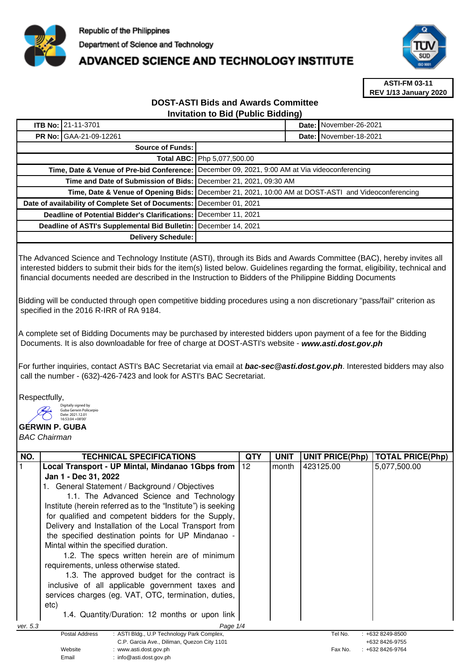

## **ADVANCED SCIENCE AND TECHNOLOGY INSTITUTE**



**ASTI-FM 03-11 REV 1/13 January 2020**

## **DOST-ASTI Bids and Awards Committee Invitation to Bid (Public Bidding)**

| <b>ITB No: 21-11-3701</b>                                        |                                                                                                     |  | Date: November-26-2021   |  |
|------------------------------------------------------------------|-----------------------------------------------------------------------------------------------------|--|--------------------------|--|
| <b>PR No: GAA-21-09-12261</b>                                    |                                                                                                     |  | Date: I November-18-2021 |  |
| <b>Source of Funds:</b>                                          |                                                                                                     |  |                          |  |
|                                                                  | Total ABC: Php 5,077,500.00                                                                         |  |                          |  |
|                                                                  | Time, Date & Venue of Pre-bid Conference: December 09, 2021, 9:00 AM at Via videoconferencing       |  |                          |  |
| Time and Date of Submission of Bids: December 21, 2021, 09:30 AM |                                                                                                     |  |                          |  |
|                                                                  | Time, Date & Venue of Opening Bids: [December 21, 2021, 10:00 AM at DOST-ASTI and Videoconferencing |  |                          |  |
| Date of availability of Complete Set of Documents:               | December 01, 2021                                                                                   |  |                          |  |
| Deadline of Potential Bidder's Clarifications:                   | December 11, 2021                                                                                   |  |                          |  |
| Deadline of ASTI's Supplemental Bid Bulletin:                    | December 14, 2021                                                                                   |  |                          |  |
| Delivery Schedule:                                               |                                                                                                     |  |                          |  |

The Advanced Science and Technology Institute (ASTI), through its Bids and Awards Committee (BAC), hereby invites all interested bidders to submit their bids for the item(s) listed below. Guidelines regarding the format, eligibility, technical and financial documents needed are described in the Instruction to Bidders of the Philippine Bidding Documents

Bidding will be conducted through open competitive bidding procedures using a non discretionary "pass/fail" criterion as specified in the 2016 R-IRR of RA 9184.

A complete set of Bidding Documents may be purchased by interested bidders upon payment of a fee for the Bidding Documents. It is also downloadable for free of charge at DOST-ASTI's website - **www.asti.dost.gov.ph**

For further inquiries, contact ASTI's BAC Secretariat via email at **bac-sec@asti.dost.gov.ph**. Interested bidders may also call the number - (632)-426-7423 and look for ASTI's BAC Secretariat.

Respectfully,

Digitally signed by Guba Gerwin Policarpio Date: 2021.12.01 16:53:04 +08'00'

Email : info@asti.dost.gov.ph

## **GERWIN P. GUBA**

BAC Chairman

| NO.                  | <b>TECHNICAL SPECIFICATIONS</b>                                                | QTY | <b>UNIT</b> | <b>UNIT PRICE(Php)</b> | <b>TOTAL PRICE(Php)</b>          |  |
|----------------------|--------------------------------------------------------------------------------|-----|-------------|------------------------|----------------------------------|--|
|                      | Local Transport - UP Mintal, Mindanao 1Gbps from                               | 112 | month       | 423125.00              | 5,077,500.00                     |  |
|                      | Jan 1 - Dec 31, 2022                                                           |     |             |                        |                                  |  |
|                      | . General Statement / Background / Objectives                                  |     |             |                        |                                  |  |
|                      | 1.1. The Advanced Science and Technology                                       |     |             |                        |                                  |  |
|                      | Institute (herein referred as to the "Institute") is seeking                   |     |             |                        |                                  |  |
|                      | for qualified and competent bidders for the Supply,                            |     |             |                        |                                  |  |
|                      | Delivery and Installation of the Local Transport from                          |     |             |                        |                                  |  |
|                      | the specified destination points for UP Mindanao -                             |     |             |                        |                                  |  |
|                      | Mintal within the specified duration.                                          |     |             |                        |                                  |  |
|                      | 1.2. The specs written herein are of minimum                                   |     |             |                        |                                  |  |
|                      | requirements, unless otherwise stated.                                         |     |             |                        |                                  |  |
|                      | 1.3. The approved budget for the contract is                                   |     |             |                        |                                  |  |
|                      | inclusive of all applicable government taxes and                               |     |             |                        |                                  |  |
|                      | services charges (eg. VAT, OTC, termination, duties,                           |     |             |                        |                                  |  |
|                      | etc)                                                                           |     |             |                        |                                  |  |
|                      | 1.4. Quantity/Duration: 12 months or upon link                                 |     |             |                        |                                  |  |
| Page 1/4<br>ver. 5.3 |                                                                                |     |             |                        |                                  |  |
|                      | : ASTI Bldg., U.P Technology Park Complex,<br>Postal Address                   |     |             | Tel No.                | $: +6328249 - 8500$              |  |
|                      | C.P. Garcia Ave., Diliman, Quezon City 1101<br>Website<br>www.asti.dost.gov.ph |     |             | Fax No.                | +632 8426-9755<br>+632 8426-9764 |  |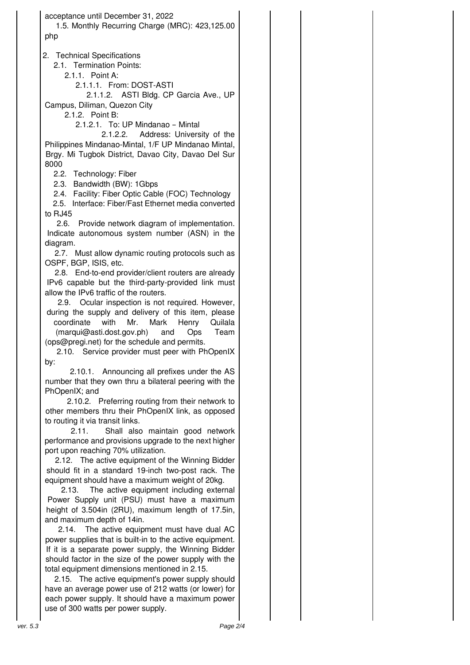acceptance until December 31, 2022 1.5. Monthly Recurring Charge (MRC): 423,125.00 php

2. Technical Specifications

2.1. Termination Points:

2.1.1. Point A:

2.1.1.1. From: DOST-ASTI

2.1.1.2. ASTI Bldg. CP Garcia Ave., UP Campus, Diliman, Quezon City

2.1.2. Point B:

2.1.2.1. To: UP Mindanao – Mintal

2.1.2.2. Address: University of the Philippines Mindanao-Mintal, 1/F UP Mindanao Mintal, Brgy. Mi Tugbok District, Davao City, Davao Del Sur 8000

2.2. Technology: Fiber

2.3. Bandwidth (BW): 1Gbps

2.4. Facility: Fiber Optic Cable (FOC) Technology

2.5. Interface: Fiber/Fast Ethernet media converted to RJ45

2.6. Provide network diagram of implementation. Indicate autonomous system number (ASN) in the diagram.

2.7. Must allow dynamic routing protocols such as OSPF, BGP, ISIS, etc.

2.8. End-to-end provider/client routers are already IPv6 capable but the third-party-provided link must allow the IPv6 traffic of the routers.

2.9. Ocular inspection is not required. However, during the supply and delivery of this item, please coordinate with Mr. Mark Henry Quilala (marqui@asti.dost.gov.ph) and Ops Team (ops@pregi.net) for the schedule and permits.

2.10. Service provider must peer with PhOpenIX by:

2.10.1. Announcing all prefixes under the AS number that they own thru a bilateral peering with the PhOpenIX; and

2.10.2. Preferring routing from their network to other members thru their PhOpenIX link, as opposed to routing it via transit links.

2.11. Shall also maintain good network performance and provisions upgrade to the next higher port upon reaching 70% utilization.

2.12. The active equipment of the Winning Bidder should fit in a standard 19-inch two-post rack. The equipment should have a maximum weight of 20kg.

2.13. The active equipment including external Power Supply unit (PSU) must have a maximum height of 3.504in (2RU), maximum length of 17.5in, and maximum depth of 14in.

2.14. The active equipment must have dual AC power supplies that is built-in to the active equipment. If it is a separate power supply, the Winning Bidder should factor in the size of the power supply with the total equipment dimensions mentioned in 2.15.

2.15. The active equipment's power supply should have an average power use of 212 watts (or lower) for each power supply. It should have a maximum power use of 300 watts per power supply.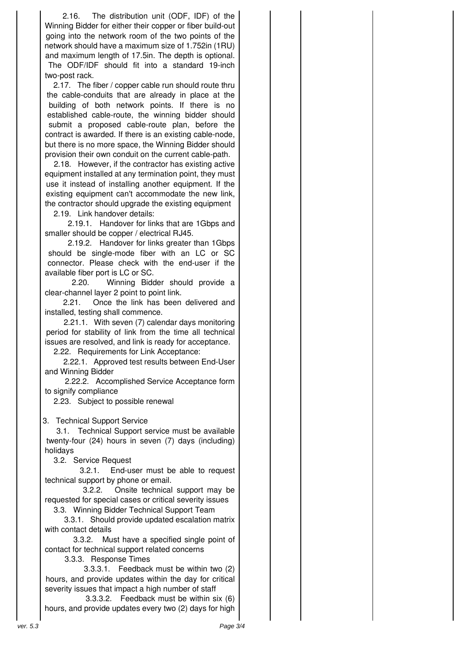2.16. The distribution unit (ODF, IDF) of the Winning Bidder for either their copper or fiber build-out going into the network room of the two points of the network should have a maximum size of 1.752in (1RU) and maximum length of 17.5in. The depth is optional. The ODF/IDF should fit into a standard 19-inch two-post rack.

2.17. The fiber / copper cable run should route thru the cable-conduits that are already in place at the building of both network points. If there is no established cable-route, the winning bidder should submit a proposed cable-route plan, before the contract is awarded. If there is an existing cable-node, but there is no more space, the Winning Bidder should provision their own conduit on the current cable-path.

2.18. However, if the contractor has existing active equipment installed at any termination point, they must use it instead of installing another equipment. If the existing equipment can't accommodate the new link, the contractor should upgrade the existing equipment

2.19. Link handover details:

2.19.1. Handover for links that are 1Gbps and smaller should be copper / electrical RJ45.

2.19.2. Handover for links greater than 1Gbps should be single-mode fiber with an LC or SC connector. Please check with the end-user if the available fiber port is LC or SC.

2.20. Winning Bidder should provide a clear-channel layer 2 point to point link.

2.21. Once the link has been delivered and installed, testing shall commence.

2.21.1. With seven (7) calendar days monitoring period for stability of link from the time all technical issues are resolved, and link is ready for acceptance.

2.22. Requirements for Link Acceptance:

2.22.1. Approved test results between End-User and Winning Bidder

2.22.2. Accomplished Service Acceptance form to signify compliance

2.23. Subject to possible renewal

3. Technical Support Service

3.1. Technical Support service must be available twenty-four (24) hours in seven (7) days (including) holidays

3.2. Service Request

3.2.1. End-user must be able to request technical support by phone or email.

3.2.2. Onsite technical support may be requested for special cases or critical severity issues

3.3. Winning Bidder Technical Support Team

3.3.1. Should provide updated escalation matrix with contact details

3.3.2. Must have a specified single point of contact for technical support related concerns

3.3.3. Response Times

3.3.3.1. Feedback must be within two (2) hours, and provide updates within the day for critical severity issues that impact a high number of staff

3.3.3.2. Feedback must be within six (6) hours, and provide updates every two (2) days for high